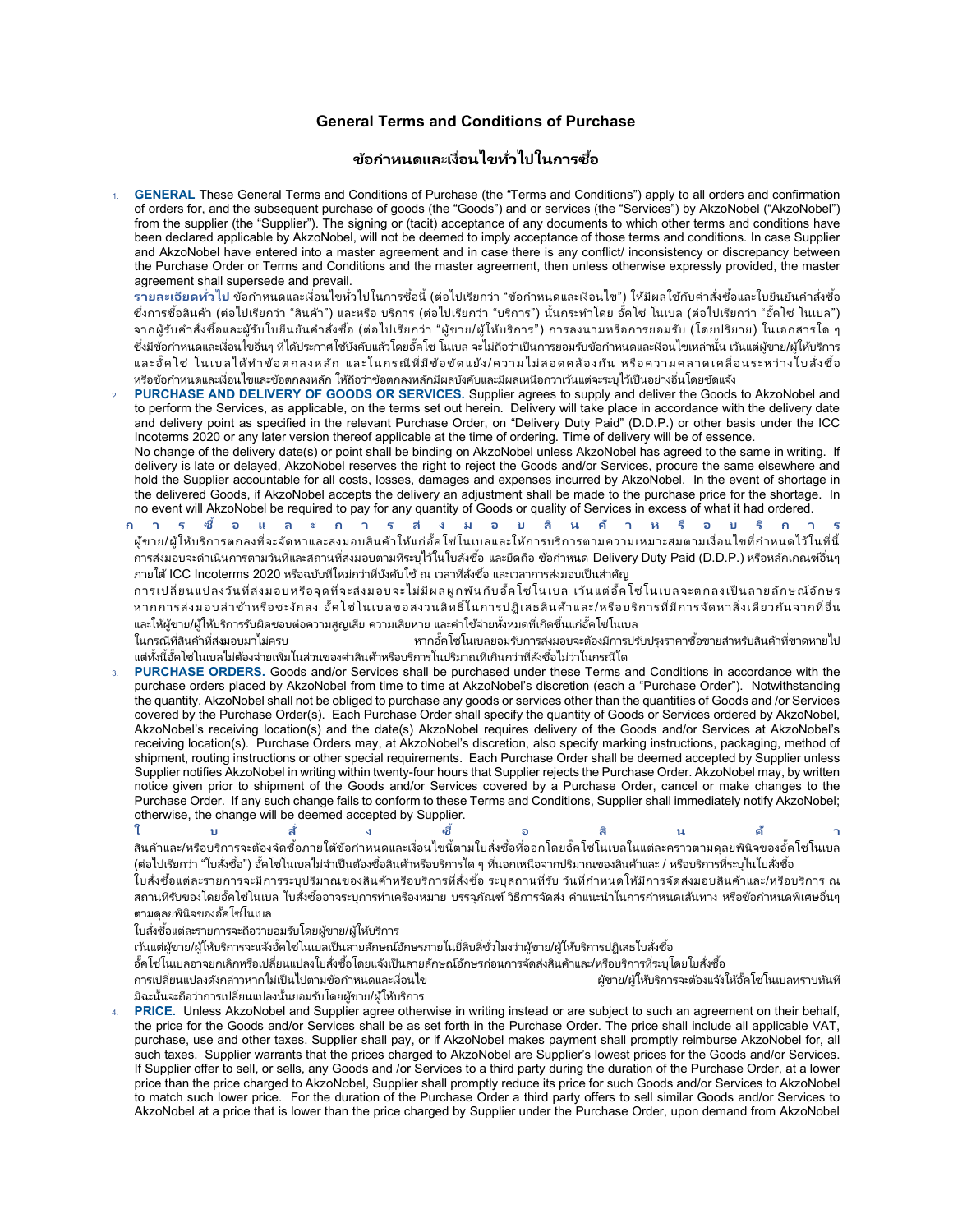## General Terms and Conditions of Purchase

## ข้อกำหนดและเงื่อนไขทั่วไปในการซื้อ

GENERAL These General Terms and Conditions of Purchase (the "Terms and Conditions") apply to all orders and confirmation of orders for, and the subsequent purchase of goods (the "Goods") and or services (the "Services") by AkzoNobel ("AkzoNobel") from the supplier (the "Supplier"). The signing or (tacit) acceptance of any documents to which other terms and conditions have been declared applicable by AkzoNobel, will not be deemed to imply acceptance of those terms and conditions. In case Supplier and AkzoNobel have entered into a master agreement and in case there is any conflict/ inconsistency or discrepancy between the Purchase Order or Terms and Conditions and the master agreement, then unless otherwise expressly provided, the master agreement shall supersede and prevail.

รายละเอียดทั่วไป ข้อกำหนดและเงื่อนไขทั่วไปในการซื้อนี้ (ต่อไปเรียกว่า "ข้อกำหนดและเงื่อนไข") ให้มีผลใช้กับคำสั่งซื้อและใบยืนยันคำสั่งซื้อ ซึ่งการซื้อสินค้า (ต่อไปเรียกว่า "สินค้า") และหรือ บริการ (ต่อไปเรียกว่า "บริการ") นั้นกระทำโดย อั๊คโซ่ โนโบล ไต่อไปเรียกว่า "อั๊คโซ่ โนเบล") จากผู้รับคำสั่งซื้อและผู้รับใบยืนยันคำสั่งซื้อ (ต่อไปเรียกว่า "ผู้ขาย/ผู้ให้บริการ") การลงนามหรือการยอมรับ (โดยปริยาย) ในเอกสารใด ๆ ซึ่งมีข้อกำหนดและเงื่อนไขอื่นๆ ที่ได้ประกาศใช้บังคับแล้วโดยอัคโซ่ โนเบล จะไม่ถือว่าเป็นการยอมรับข้อกำหนดและเงื่อนไขเหล่านั้น เว้นแต่ผู้ขาย/ผ้ให้บริการ และอั๊ค โซ่ โนเบลได้หำข้อตกลงหลัก และในกรณีที่มีข้อขัดแย้ง/ความไม่สอดคล้องกัน หรือความคลาดเคลื่อนระหว่างใบสั่งซื้อ หรือข้อกำหนดและเงื่อนไขและข้อตกลงหลัก ให้ถือว่าข้อตกลงหลักมีผลบังคับและมีผลเหนือกว่าเว้นแต่จะระบุไว้เป็นอย่างอื่นโดยชัดแจ้ง

PURCHASE AND DELIVERY OF GOODS OR SERVICES. Supplier agrees to supply and deliver the Goods to AkzoNobel and to perform the Services, as applicable, on the terms set out herein. Delivery will take place in accordance with the delivery date and delivery point as specified in the relevant Purchase Order, on "Delivery Duty Paid" (D.D.P.) or other basis under the ICC Incoterms 2020 or any later version thereof applicable at the time of ordering. Time of delivery will be of essence. No change of the delivery date(s) or point shall be binding on AkzoNobel unless AkzoNobel has agreed to the same in writing. If delivery is late or delayed, AkzoNobel reserves the right to reject the Goods and/or Services, procure the same elsewhere and

hold the Supplier accountable for all costs, losses, damages and expenses incurred by AkzoNobel. In the event of shortage in the delivered Goods, if AkzoNobel accepts the delivery an adjustment shall be made to the purchase price for the shortage. In no event will AkzoNobel be required to pay for any quantity of Goods or quality of Services in excess of what it had ordered.

ร ซื้อ แ ล ะ ก า ร ส่ ง ม อ บ สิ น ค้ า ห รื อ บ ริ ผู้ขาย/ผู้ให้บริการตกลงที่จะจัดหาและส่งมอบสินค้าให้แก่อั้คโซโนเบลและให้การบริการตามความเหมาะสมตามเงื่อนไขที่กำหนดไว้ในที่นี้ การส่งมอบจะดำเนินการตามวันที่และสถานที่ส่งมอบตามที่ระบุไว้ในใบสั่งซื้อ และยึดถือ ขัอกำหนด Delivery Duty Paid (D.D.P.) หรือหลักเกณฑ์อื่นๆ ภายใต้ ICC Incoterms 2020 หรือฉบับที่ใหม่กว่าที่บังคับใช้ ณ เวลาที่สั่งซื้อ และเวลาการส่งมอบเป็นสำคัญ

การเปลี่ยนแปลงวันที่ส่งมอบหรือจุดที่จะส่งมอบจะไม่มีผลผูกพันกับอั๊คโซโนเบล เว้นแต่อั๊คโซ่โนเบลจะตกลงเป็นลายลักษณ์อักษร หากการส่งมอบล่าช้าหรือซะงักลง อั๊คโซโนเบลขอสงวนสิทธิ์ในการปฏิเสธสินค้าและ/หรือบริการที่มีการจัดหาสิ่งเดียวกันจากที่อื่น และให้ผู้ขาย/ผู้ให้บริการรับผิดชอบต่อความสูญเสีย ความเสียหาย และค่าใช้จ่ายทั้งหมดที่เกิดขึ้นแก่อั้คโซโนเบล

ในกรณีที่สินค้าที่ส่งมอบมาไม่ครบ หากอั๊คโซโนเบลยอมรับการส่งมอบจะต้องมีการปรับปรุงราคาซื้อขายสำหรับสินค้าที่ขาดหายไป แต่ทั้งนี้อั๊คโซโนเบลไม่ต้องจ่ายเพิ่มในส่วนของค่าสินค้าหรือบริการในปริมาณที่เกินกว่าที่สั่งซื้อไม่ว่าในกรณีใด

PURCHASE ORDERS. Goods and/or Services shall be purchased under these Terms and Conditions in accordance with the purchase orders placed by AkzoNobel from time to time at AkzoNobel's discretion (each a "Purchase Order"). Notwithstanding the quantity, AkzoNobel shall not be obliged to purchase any goods or services other than the quantities of Goods and /or Services covered by the Purchase Order(s). Each Purchase Order shall specify the quantity of Goods or Services ordered by AkzoNobel, AkzoNobel's receiving location(s) and the date(s) AkzoNobel requires delivery of the Goods and/or Services at AkzoNobel's receiving location(s). Purchase Orders may, at AkzoNobel's discretion, also specify marking instructions, packaging, method of shipment, routing instructions or other special requirements. Each Purchase Order shall be deemed accepted by Supplier unless Supplier notifies AkzoNobel in writing within twenty-four hours that Supplier rejects the Purchase Order. AkzoNobel may, by written notice given prior to shipment of the Goods and/or Services covered by a Purchase Order, cancel or make changes to the Purchase Order. If any such change fails to conform to these Terms and Conditions, Supplier shall immediately notify AkzoNobel; otherwise, the change will be deemed accepted by Supplier.

ใ บ ส้ ง ซึ่ อ สิ น ค้ า สินค้าและ/หรือบริการจะต้องจัดซื้อภายใต้ข้อกำหนดและเงื่อนไขนี้ตามใบสั่งซื้อที่ออกโดยอั๊คโซโนเบลในแต่ละคราวตามดุลยพินิจของอั๊คโซโนเบล (ต่อไปเรียกว่า "โบสั่งซื้อ") อั๊คโซโนเบลไม่จำเป็นต้องซื้อสินค้าหรือบริการใด ๆ ที่นอกเหนือจากปริมาณของสินค้าและ / หรือบริการที่ระบุในใบสั่งซื้อ

ใบสั่งซื้อแต่ละรายการจะมีการระบุปริมาณของสินค้าหรือบริการที่สั่งซื้อ ระบุสถานที่รับ วันที่กำหนดให้มีการจัดส่งมอบสินค้าและ/หรือบริการ ณ สถานที่รับของโดยอัคโซโนเบล ใบส้งซื้ออาจระบุการทำเครื่องหมาย บรรจุภัณฑ์ วิธีการจัดส่ง คำแนะนำในการกำหนดเส้นทาง หรือข้อกำหนดพิเศษอื่นๆ ตามดลยพินิจของอั๊คโซโนเบล

ใบสั่งซื้อแต่ละรายการจะถือว่ายอมรับโดยผัชาย/ผ้ให้บริการ

เว้นแต่ผู้ขาย/ผู้ให้บริการจะแจ้งอัคโซโนเบลเป็นลายลักษณ์อักษรภายในยี่สิบสี่ซั่วโมงว่าผู้ขาย/ผู้ให้บริการปฏิเสธใบส่งซื้อ

อั๊คโซโนเบลอาจยกเลิกหรือเปลี่ยนแปลงใบสั่งซื้อโดยแจ้งเป็นลายลักษณ์อักษรก่อนการจัดส่งสินค้าและ/หรือบริการที่ระบุโดยใบสั่งซื้อ

การเปลี่ยนแปลงดังกล่าวหากไม่เป็นไปตามข้อกำหนดและเงื่อนไข ผู้ขาย/ผู้ให้บริการจะต้องแจ้งให้อั๊คโซโนเบลทราบหันที มิฉะนั้นจะถือว่าการเปลี่ยนแปลงนั้นยอมรับโดยผู้ขาย/ผู้ให้บริการ

PRICE. Unless AkzoNobel and Supplier agree otherwise in writing instead or are subject to such an agreement on their behalf, the price for the Goods and/or Services shall be as set forth in the Purchase Order. The price shall include all applicable VAT, purchase, use and other taxes. Supplier shall pay, or if AkzoNobel makes payment shall promptly reimburse AkzoNobel for, all such taxes. Supplier warrants that the prices charged to AkzoNobel are Supplier's lowest prices for the Goods and/or Services. If Supplier offer to sell, or sells, any Goods and /or Services to a third party during the duration of the Purchase Order, at a lower price than the price charged to AkzoNobel, Supplier shall promptly reduce its price for such Goods and/or Services to AkzoNobel to match such lower price. For the duration of the Purchase Order a third party offers to sell similar Goods and/or Services to AkzoNobel at a price that is lower than the price charged by Supplier under the Purchase Order, upon demand from AkzoNobel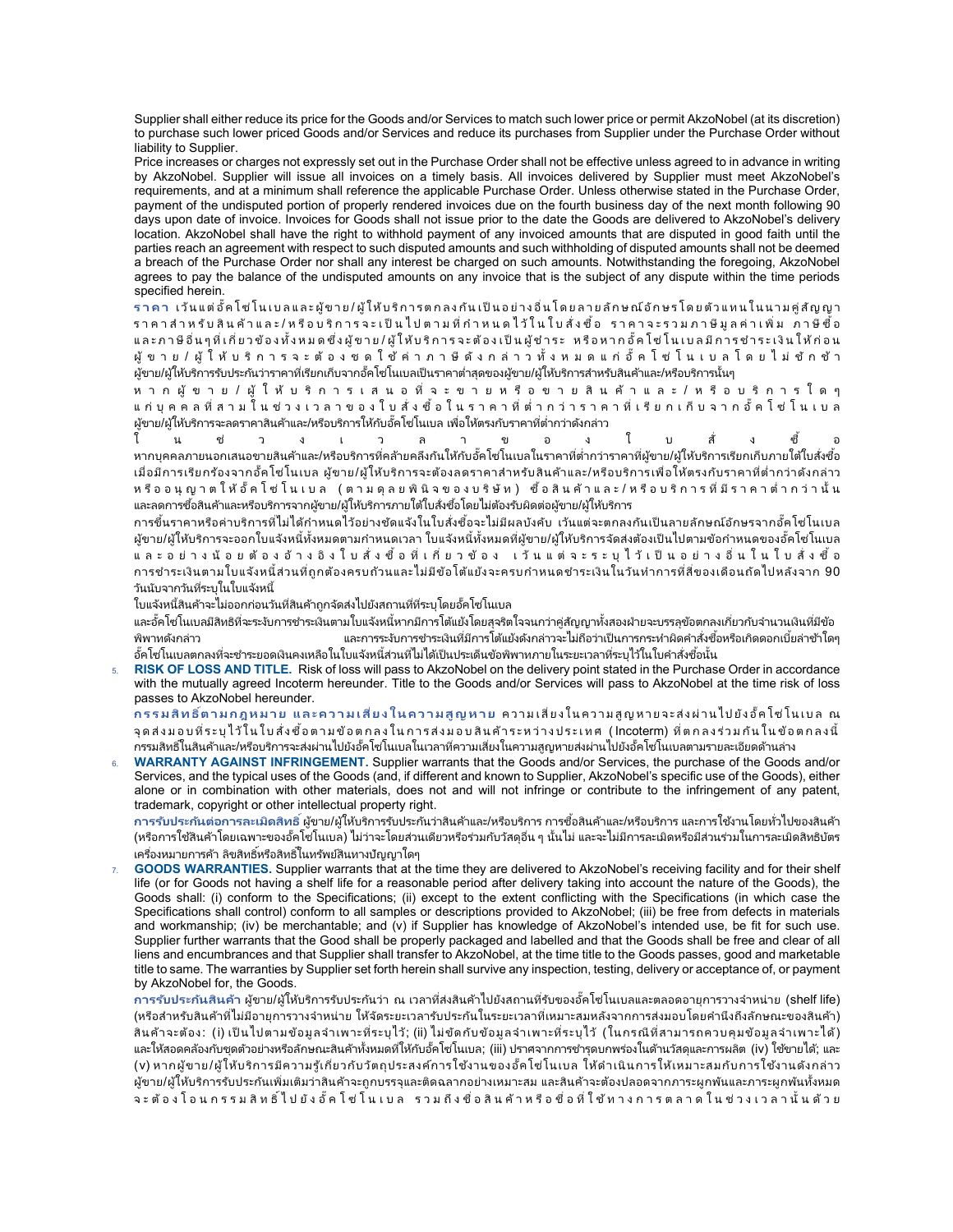Supplier shall either reduce its price for the Goods and/or Services to match such lower price or permit AkzoNobel (at its discretion) to purchase such lower priced Goods and/or Services and reduce its purchases from Supplier under the Purchase Order without liability to Supplier.

Price increases or charges not expressly set out in the Purchase Order shall not be effective unless agreed to in advance in writing by AkzoNobel. Supplier will issue all invoices on a timely basis. All invoices delivered by Supplier must meet AkzoNobel's requirements, and at a minimum shall reference the applicable Purchase Order. Unless otherwise stated in the Purchase Order, payment of the undisputed portion of properly rendered invoices due on the fourth business day of the next month following 90 days upon date of invoice. Invoices for Goods shall not issue prior to the date the Goods are delivered to AkzoNobel's delivery location. AkzoNobel shall have the right to withhold payment of any invoiced amounts that are disputed in good faith until the parties reach an agreement with respect to such disputed amounts and such withholding of disputed amounts shall not be deemed a breach of the Purchase Order nor shall any interest be charged on such amounts. Notwithstanding the foregoing, AkzoNobel agrees to pay the balance of the undisputed amounts on any invoice that is the subject of any dispute within the time periods specified herein.

รา ค า เ วัน แ ต่ อัค โ ซ โ น เ บ ล แ ละ ผู้ ขา ย / ผู้ ให้ บ ริ ก า ร ต ก ล ง กัน เ ป็ น อ ย่ า ง อื น โ ด ย ลั ก ษ ณ์ วัด บ น ใ น น า ม คู่ สัญ ญ า ราคาสำหรับสินค้าและ/หรือบริการจะเป็นไปตามที่กำหนดไว้ในใบสั่งซื้อ ราคาจะรวมภาษีมูลค่าเพิ่ม ภาษีซื้อ และภาษีอื่นๆที่เกี่ยวข้องหั้งหมดซึ่งผู้ขาย/ผู้ให้บริการจะต้องเป็นผู้ชำระ หรือหากอั๊คโซโนเบลมีการชำระเงินให้ก่อน ผั ข า ย / ผั ใ ห้ บ ริ ก า ร จ ะ ต้ อ ง ช ด ใ ช ้ ค่ า ภ า ษี ดั ง ก ล่ า ว ห้ ง ห ม ด แ ก่ อั๊ ค โ ซ่ โ น เ บ ล โ ด ย ไ ม่ ช ั ก ช ำ ผู้ขาย/ผู้ให้บริการรับประกันว่าราคาที่เรียกเก็บจากอั๊คโซโนเบลเป็นราคาต่ำสุดของผู้ขาย/ผู้ให้บริการสำหรับสินค้าและ/หรือบริการนั้นๆ

ห า ก ผู้ ข า ย / ผู้ ใ ห้ บ ริ ก า ร เ ส น อ ที่ จ ะ ข า ย ห รื อ ข า ย สิ น ค้ า แ ล ะ / ห รื อ บ ริ ก า ร ใ ด ๆ แ ก่ บุ ค ค ล ที่ ส า ม ใ น ช ่ ว ง เ ว ล า ข อ ง ใ บ สํ ง ซื้ อ ใ น ร า ค า ที่ ตำ ก ว ำ า ก า ก ว ก เ ก็ บ จ า ก อ ๊ ค โ ซ ่ โ น เ บ ล ผู้ขาย/ผู้ให้บริการจะลดราคาสินค้าและ/หรือบริการให้กับอั๊คโซโนเบล เพื่อให้ตรงกับราคาที่ต่ำกว่าดังกล่าว

ใ น ช่วง เ วล า ขอ ง ใ บ ส้ ง ซื้อ หากบุคคลภายนอกเสนอขายสินค้าและ/หรือบริการที่คล้ายคลึงกันให้กับอั้คโซโนเบลในราคาที่ต่ำกว่าราคาที่ผู้ขาย/ผู้ให้บริการเรียกเก็บภายใต้ใบส่งซื้อ เมื่อมีการเรียกร้องจากอั๊คโซโนเบล ผู้ขาย/ผู้ให้บริการจะต้องลดราคาสำหรับสินค้าและ/หรือบริการเพื่อให้ตรงกับราคาที่ต่ำกว่าดังกล่าว หรืออนุญาตให้อั๊คโซ่โนเบล (ตามดุลยพินิจของบริษัท) ซื้อสินค้าและ/หรือบริการที่มีราคาต่ำกว่านั้น และลดการซื้อสินค้าและหรือบริการจากผู้ขาย/ผู้ให้บริการภายใต้ใบส่่งซื้อโดยไม่ต้องรับผิดต่อผู้ขาย/ผู้ให้บริการ

การขึ้นราคาหรือค่าบริการที่ไม่ได้กำหนดไว้อย่างชัดแจ้งในใบสั่งซื้อจะไม่มีผลบังคับ เว้นแต่จะตกลงกันเป็นลายลักษณ์อักษรจากอั๊คโซโนเบล ผู้ขาย/ผู้ให้บริการจะออกใบแจ้งหนี้ทั้งหมดตามกำหนดเวลา ใบแจ้งหนี้ทั้งหมดที่ผู้ขาย/ผู้ให้บริการจัดส่งต้องเป็นไปตามข้อกำหนดของอั้คโซโนเบล และอย่างน้อยต้องอ้างอิงใบส้งซื้อที่เกี่ยวข้อง เว้นแต่จะระบุไว้เป็นอย่างอื่นในใบส้งซื้อ การชำระเงินตามใบแจ้งหนี้ส่วนที่ถูกต้องครบถ้วนและไม่มีข้อโต้แย้งจะครบกำหนดชำระเงินในวันทำการที่สี่ของเดือนถัดไปหลังจาก 90 วันนับจากวันที่ระบุในใบแจ้งหนี้

์ ใบแจ้งหนี้สินค้าจะไม่ออกก่อนวันที่สินค้าถกจัดส่งไปยังสถานที่ที่ระบุโดยอั๊คโซโนเบล

และอั๊คโซโนเบลมีสิทธิที่จะระงับการชำระเงินตามใบแจ้งหนี้หากมีการโต้แย้งโดยสุจริตใจจนกว่าคู่สัญญาทั้งสองฝ่ายจะบรรลุข้อตกลงเกี่ยวกับจำนวนเงินที่มีข้อ พิพาทดังกล่าว และการระงับการชำระเงินที่มีการโต้แย้งดังกล่าวจะไม่ถือว่าเป็นการกระทำผิดคำสั่งซื้อหรือเกิดดอกเบี้ยล่าช้าใดๆ อั๊คโซโนเบลตกลงที่จะชำระยอดเงินคงเหลือในใบแจ้งหนี้ส่วนที่ไม่ได้เป็นประเด็นข้อพิพาทภายในระยะเวลาที่ระบุไว้ในใบคำสั่งซื้อนั้น

RISK OF LOSS AND TITLE. Risk of loss will pass to AkzoNobel on the delivery point stated in the Purchase Order in accordance with the mutually agreed Incoterm hereunder. Title to the Goods and/or Services will pass to AkzoNobel at the time risk of loss passes to AkzoNobel hereunder.

กรรมสิทธิ์ตามกฎหมาย และความเสี่ยงในความสูญหาย ความเสี่ยงในความสูญหายจะส่งผ่านไปยังอั๊คโซโนเบล ณ จุดส่งมอบที่ระบุไว้ในใบสั่งซื้อตามข้อตกลงในการส่งมอบสินค้าระหว่างประเทศ (Incoterm) ที่ตกลงร่วมกันในข้อตกลงนี้ กรรมสิทธิ์ในสินค้าและ/หรือบริการจะส่งผ่านไปยังอั้คโซโนเบลในเวลาที่ความเสี่ยงในความสูญหายส่งผ่านไปยังอั๊คโซโนเบลตามรายละเอียดด้านล่าง

WARRANTY AGAINST INFRINGEMENT. Supplier warrants that the Goods and/or Services, the purchase of the Goods and/or Services, and the typical uses of the Goods (and, if different and known to Supplier, AkzoNobel's specific use of the Goods), either alone or in combination with other materials, does not and will not infringe or contribute to the infringement of any patent, trademark, copyright or other intellectual property right.

การรับประกันต่อการละเมิดสิทธิ์ ผู้ขาย/ผู้ให้บริการรับประกันว่าสินค้าและ/หรือบริการ การซื้อสินค้าและ/หรือบริการ และการใช้งานโดยทั่วไปของสินค้า (หรือการใช้สินค้าโดยเฉพาะของอัคโซโนเบล) ไม่ว่าจะโดยส่วนเดียวหรือร่วมกับวัสดุอื่น ๆ นั้นไม่ และจะไม่มีการละเมิดหรือมีส่วนร่วมในการละเมิดสิทธิบัตร เครื่องหมายการค้า ลิขสิทธิ์หรือสิทธิ์ในทรัพย์สินทางปัญญาใดๆ

7. GOODS WARRANTIES. Supplier warrants that at the time they are delivered to AkzoNobel's receiving facility and for their shelf life (or for Goods not having a shelf life for a reasonable period after delivery taking into account the nature of the Goods), the Goods shall: (i) conform to the Specifications; (ii) except to the extent conflicting with the Specifications (in which case the Specifications shall control) conform to all samples or descriptions provided to AkzoNobel; (iii) be free from defects in materials and workmanship; (iv) be merchantable; and (v) if Supplier has knowledge of AkzoNobel's intended use, be fit for such use. Supplier further warrants that the Good shall be properly packaged and labelled and that the Goods shall be free and clear of all liens and encumbrances and that Supplier shall transfer to AkzoNobel, at the time title to the Goods passes, good and marketable title to same. The warranties by Supplier set forth herein shall survive any inspection, testing, delivery or acceptance of, or payment by AkzoNobel for, the Goods.

การรับประกันสินค้า ผู้ขาย/ผู้ให้บริการรับประกันว่า ณ เวลาที่ส่งสินค้าไปยังสถานที่รับของอั้คโซโนเบลและตลอดอายุการวางจำหน่าย (shelf life) (หรือสำหรับสินค้าที่ไม่มีอายุการวางจำหน่าย ให้จัดระยะเวลารับประกันในระยะเวลาที่เหมาะสมหลังจากการส่งมอบโดยคำนึงถึงลักษณะของสินค้า) สินค้าจะต้อง: (i) เป็นไปตามข้อมูลจำเพาะที่ระบุไว้; (ii) ไม่ขัดกับข้อมูลจำเพาะที่ระบุไว้ (ในกรณีที่สามารถควบคุมข้อมูลจำเพาะได้) และให้สอดคล้องกับชุดตัวอย่างหรือลักษณะสินค้าทั้งหมดที่ให้กับอั้คโซโนเบล; (iii) ปราศจากการชำรุดบกพร่องในด้านวัสดุและการผลิต (iv) ใช้ขายได้; และ (v) หากผู้ขาย/ผู้ให้บริการมีความรู้เกี่ยวกับวัตถุประสงค์การใช้งานของอั๊คโซโนเบล ให้ดำเนินการให้เหมาะสมกับการใช้งานดังกล่าว ผู้ขาย/ผู้ให้บริการรับประกันเพิ่มเติมว่าสินค้าจะถูกบรรจุและติดฉลากอย่างเหมาะสม และสินค้าจะต้องปลอดจากภาระผูกพันและภาระผูกพันทั้งหมด จะต้องโอน กรรมสิทธิ์ไปยังอั๊ค โซ่ โนเบล รวมถึงชื่อสินค้าหรือชื่อที่ใช้ทางการตลาดในช่วงเวลานั้นด้วย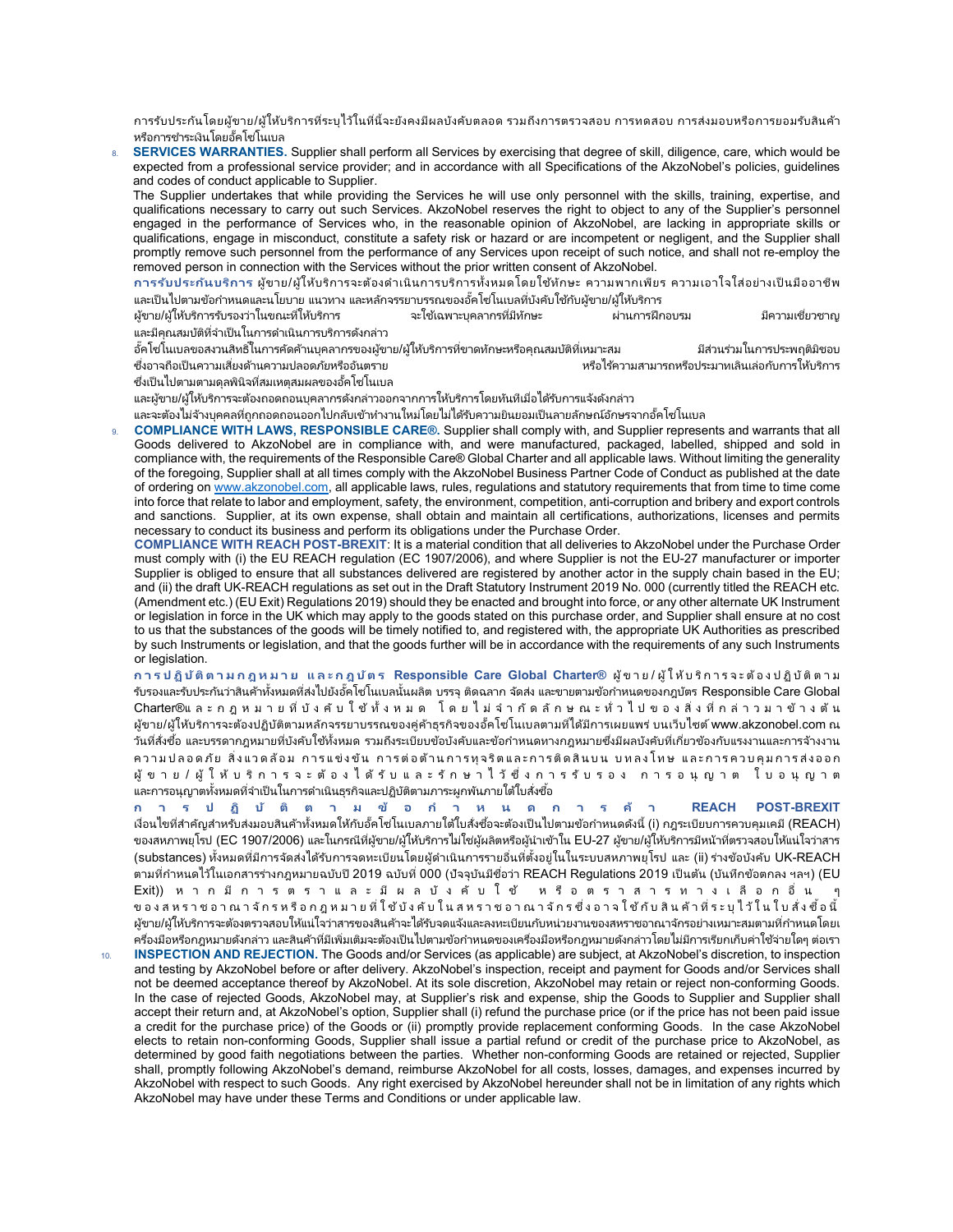การรับประกันโดยผู้ขาย/ผู้ให้บริการที่ระบุไว้ในที่นี้จะยังคงมีผลบังคับตลอด รวมถึงการตรวจสอบ การทดสอบ การส่งมอบหรือการยอมรับสินค้า หรือการชำระเงินโดยอั๊คโซโนเบล

SERVICES WARRANTIES. Supplier shall perform all Services by exercising that degree of skill, diligence, care, which would be expected from a professional service provider; and in accordance with all Specifications of the AkzoNobel's policies, guidelines and codes of conduct applicable to Supplier.

The Supplier undertakes that while providing the Services he will use only personnel with the skills, training, expertise, and qualifications necessary to carry out such Services. AkzoNobel reserves the right to object to any of the Supplier's personnel engaged in the performance of Services who, in the reasonable opinion of AkzoNobel, are lacking in appropriate skills or qualifications, engage in misconduct, constitute a safety risk or hazard or are incompetent or negligent, and the Supplier shall promptly remove such personnel from the performance of any Services upon receipt of such notice, and shall not re-employ the removed person in connection with the Services without the prior written consent of AkzoNobel.

การรับประกันบริการ ผู้ขาย/ผู้ให้บริการจะต้องดำเนินการบริการทั้งหมดโดยใช้หักษะ ความพากเพียร ความเอาใจใส่อย่างเป็นมืออาชีพ และเป็นไปตามข้อกำหนดและนโยบาย แนวทาง และหลักจรรยาบรรณของอั๊คโซโนเบลที่บังคับใช้กับผัซาย/ผ้ให้บริการ

ผู้ขาย/ผู้ให้บริการรับรองว่าในขณะที่ให้บริการ ้จะใช้เฉพาะบุคลากรที่มีทักษะ ผ่านการฝึกอบรม มีความเชี่ยวชาญ และมีคุณสมบัติที่จำเป็นในการดำเนินการบริการดังกล่าว

อั๊คโซโนเบลขอสงวนสิทธิ์ในการคัดค้านบุคลากรของผู้ขาย/ผู้ให้บริการที่ขาดทักษะหรือคุณสมบัติที่เห มีส่วนร่วมในการประพฤติมิชอบ ี่ ซึ่งอาจถือเป็นความเสี่ยงด้านความปลอดภัยหรืออันตราย หรือ หรือไรความสามารถหรือประมาทเลินเล่อกับการให้บริการ

้ซึ่งเป็นไปตามตามดลพินิจที่สมเหตุสมผลของอั๊คโซโนเบล

และผัชาย/ผ้ให้บริการจะต้องถอดถอนบคลากรดังกล่าวออกจากการให้บริการโดยทันทีเมื่อได้รับการแจ้งดังกล่าว

และจะต้องไม่จ้างบคคลที่ถกถอดถอนออกไปกลับเข้าทำงานใหม่โดยไม่ได้รับความยินยอมเป็นลายลักษณ์อักษรจากอั๊คโซโนเบล

9. COMPLIANCE WITH LAWS, RESPONSIBLE CARE®. Supplier shall comply with, and Supplier represents and warrants that all Goods delivered to AkzoNobel are in compliance with, and were manufactured, packaged, labelled, shipped and sold in compliance with, the requirements of the Responsible Care® Global Charter and all applicable laws. Without limiting the generality of the foregoing, Supplier shall at all times comply with the AkzoNobel Business Partner Code of Conduct as published at the date of ordering on www.akzonobel.com, all applicable laws, rules, regulations and statutory requirements that from time to time come into force that relate to labor and employment, safety, the environment, competition, anti-corruption and bribery and export controls and sanctions. Supplier, at its own expense, shall obtain and maintain all certifications, authorizations, licenses and permits necessary to conduct its business and perform its obligations under the Purchase Order.

COMPLIANCE WITH REACH POST-BREXIT: It is a material condition that all deliveries to AkzoNobel under the Purchase Order must comply with (i) the EU REACH regulation (EC 1907/2006), and where Supplier is not the EU-27 manufacturer or importer Supplier is obliged to ensure that all substances delivered are registered by another actor in the supply chain based in the EU; and (ii) the draft UK-REACH regulations as set out in the Draft Statutory Instrument 2019 No. 000 (currently titled the REACH etc. (Amendment etc.) (EU Exit) Regulations 2019) should they be enacted and brought into force, or any other alternate UK Instrument or legislation in force in the UK which may apply to the goods stated on this purchase order, and Supplier shall ensure at no cost to us that the substances of the goods will be timely notified to, and registered with, the appropriate UK Authorities as prescribed by such Instruments or legislation, and that the goods further will be in accordance with the requirements of any such Instruments or legislation.

การปฏิบัติตามกฎหมาย และกฎบัตร Responsible Care Global Charter® ผู้ขาย/ผู้ให้บริการจะต้องปฏิบัติตาม รับรองและรับประกันว่าสินค้าทั้งหมดที่ส่งไปยังอั๊คโซโนเบลนั้นผลิต บรรจุ ติดฉลาก จัดส่ง และขายตามข้อกำหนดของกฎบัตร Responsible Care Global  $\Box$ harter®แ ละกฎหมายที่บังคับ ใช้ทั้งหมด โดย ไม่จำกัดลักษณะทั่ว ไป ของสิ่งที่กล่าวมาข้างต้น ผู้ขาย/ผู้ให้บริการจะต้องปฏิบัติตามหลักจรรยาบรรณของคู่ค้าธุรกิจของอั้คโซโนเบลตามที่ได้มีการเผยแพร่ บนเว็บไซต์ www.akzonobel.com ณ วันที่สั่งซื้อ และบรรดากฎหมายที่บังคับใช้ทั้งหมด รวมถึงระเบียบข้อบังคับและข้อกำหนดทางกฎหมายซึ่งมีผลบังคับที่เกี่ยวข้องกับแรงงานและการจ้างงาน ความปลอดภัย สิ่งแวดล้อม การแข่งขัน การต่อต้านการหจริตและการติดสินบน บหลงโหษ และการควบคุมการส่งออก ผู้ ข า ย / ผู้ ใ ห้ บ ริ ก า ร จ ะ ต้ อ ง ไ ด้ รั บ แ ล ะ รั ก ษ า ไ ว้ ซึ่ ง ก า ร รั บ ร อ ง ก า ร อ นุ ญ า ต และการอนุญาตทั้งหมดที่จำเป็นในการดำเนินธุรกิจและปฏิบัติตามภาระผูกพันภายใต้ใบสั่งซื้อ

ก า ร ป ฏิ บ ั ติ ต า ม ข้ อ กํ า ห น ด ก า ร ค้ า REACH POST-BREXIT เงื่อนไขที่สำคัญสำหรับส่งมอบสินค้าทั้งหมดให้กับอั๊คโซโนเบลภายใต้ใบส่งซื้อจะต้องเป็นไปตามข้อกำหนดดังนี้ (i) กฎระเบียบการควบคุมเคมี (REACH) ของสหภาพยุโรป (EC 1907/2006) และในกรณีที่ผู้ขาย/ผู้ให้บริการไม่ใช่ผู้ผลิตหรือผู้นำเข้าใน EU-27 ผู้ขาย/ผู้ให้บริการมีหน้าที่ตรวจสอบให้แน่ใจว่าสาร (substances) ทั้งหมดที่มีการจัดส่งได้รับการจดทะเบียนโดยผู้ดำเนินการรายอื่นที่ตั้งอยู่ในในระบบสหภาพยุโรป และ (ii) ร่างข้อบังคับ UK-REACH ตามที่กำหนดไว้ในเอกสารร่างกฎหมายฉบับปี 2019 ฉบับที่ 000 (บัจจุบันมีชื่อว่า REACH Regulations 2019 เป็นต้น (บันทึกข้อตกลง ฯลฯ) (EU Exit)) ห า ก มี ก า ร ต ร า แ ล ะ มี ผ ล บั ง คั บ ใ ชั ห รื อ ต ร า ส า ร ห า ง เ ลื อ ก อี่ น ของสหราช อา ณ า จักรหรือ กฎหมาย ที่ ใ ช ้บัง คับ ใน ส ห ราช อา ณ า จักร ซึ่ง อา จ ใ ช ้ กับ สิ น ค้า ที่ ระ บุ ไ ว้ ใ น ใ บ ส่ง ซื้ อ นี้ ผู้ขาย/ผู้ให้บริการจะต้องตรวจสอบให้แน่ใจว่าสารของสินค้าจะได้รับจดแจ้งและลงทะเบียนกับหน่วยงานของสหราชอาณาจักรอย่างเหมาะสมตามที่กำหนดโดยเ ครื่องมือหรือกฎหมายดังกล่าว และสินค้าที่มีเพิ่มเติมจะต้องเป็นไปตามข้อกำหนดของเครื่องมือหรือกฎหมายดังกล่าวโดยไม่มีการเรียกเก็บค่าใช้จ่ายใดๆ ต่อเรา

10. INSPECTION AND REJECTION. The Goods and/or Services (as applicable) are subject, at AkzoNobel's discretion, to inspection and testing by AkzoNobel before or after delivery. AkzoNobel's inspection, receipt and payment for Goods and/or Services shall not be deemed acceptance thereof by AkzoNobel. At its sole discretion, AkzoNobel may retain or reject non-conforming Goods. In the case of rejected Goods, AkzoNobel may, at Supplier's risk and expense, ship the Goods to Supplier and Supplier shall accept their return and, at AkzoNobel's option, Supplier shall (i) refund the purchase price (or if the price has not been paid issue a credit for the purchase price) of the Goods or (ii) promptly provide replacement conforming Goods. In the case AkzoNobel elects to retain non-conforming Goods, Supplier shall issue a partial refund or credit of the purchase price to AkzoNobel, as determined by good faith negotiations between the parties. Whether non-conforming Goods are retained or rejected, Supplier shall, promptly following AkzoNobel's demand, reimburse AkzoNobel for all costs, losses, damages, and expenses incurred by AkzoNobel with respect to such Goods. Any right exercised by AkzoNobel hereunder shall not be in limitation of any rights which AkzoNobel may have under these Terms and Conditions or under applicable law.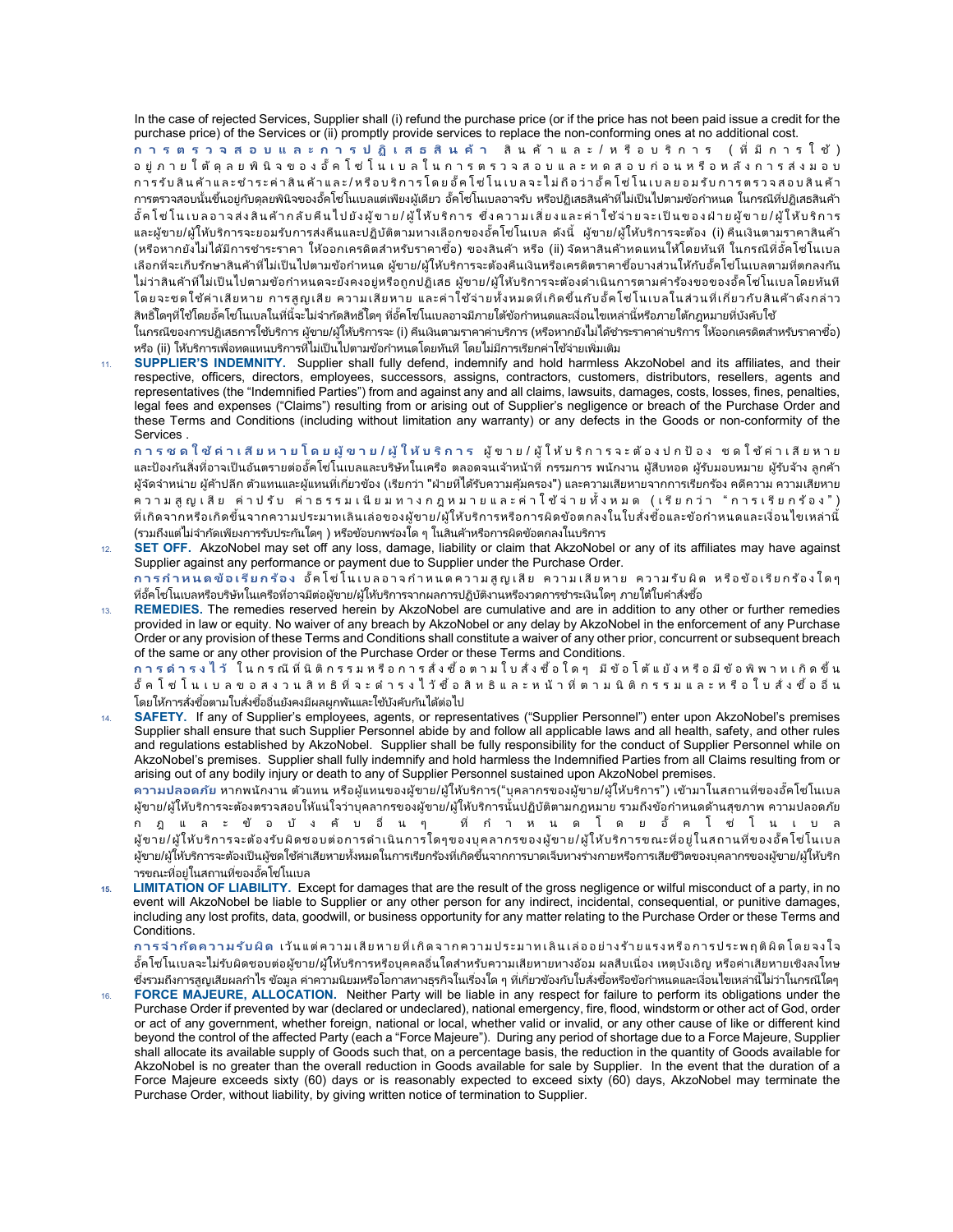In the case of rejected Services, Supplier shall (i) refund the purchase price (or if the price has not been paid issue a credit for the purchase price) of the Services or (ii) promptly provide services to replace the non-conforming ones at no additional cost.

การตรวจสอบและการปฏิเสธสินค้า สินค้าและ/หรือบริการ (ที่มีการใช้) อ ยู่ ภ า ย ใ ตั ดุ ล ย พิ นิ จ ข อ ง อั๊ ค โ ซ่ โ น เ บ ล ใ น ก า ร ต ร ว จ ส อ บ แ ล ะ ท ด ส อ บ ก่ อ น ห รื อ ห ลั ง ก า ร ส่ ง ม อ บ ก า ร รับ สิ น ค้า และชำระค่า สิ น ค้า และ/ หรือ บ ริก า ร โด ย อัค โ ซ่ โ น เ บ ล จ ว เ ม่ ม์ ก โ ซ โ น เ บ ล ย อ ม รับ ก า ร ต ร ว จ ส อ บ สิ น ค้า การตรวจสอบนั้นขึ้นอยู่กับดุลยพินิจของอั้คโซโนเบลแต่เพียงผู้เดียว อั้คโซโนเบลอาจรับ หรือปฏิเสธสินค้าที่ไม่เป็นไปตามขัอกำหนด ในกรณีที่ปฏิเสธสินค้า อั๊ค โซ โน เบ ล อ า จ ส่ ง สิ น ค้ า ก ลั บ คื น ไป ยั ง ผู้ ข า ย / ผู้ ห้ น วิ ก า ร ซึ่ ง ค ว า ม เ สี่ ย ง แ ล ะ ค า ใ ช้ จ่ า ย จ ะ เ ป็ น ข อ ง ฝ่ า ย ผู้ ข า ย / ผู้ ใ ห้ บ ริ ก า ร และผู้ขาย/ผู้ให้บริการจะยอมรับการส่งคืนและปฏิบัติตามทางเลือกของอัคโซโนเบล ดังนี้ ผู้ขาย/ผู้ให้บริการจะต้อง (i) คืนเงินตามราคาสินค้า (หรือหากยังไม่ได้มีการชำระราคา ให้ออกเครดิตสำหรับราคาซื้อ) ของสินค้า หรือ (ii) จัดหาสินค้าทดแทนให้โดยทันที ในกรณีที่อัคโซโนเบล เลือกที่จะเก็บรักษาสินค้าที่ไม่เป็นไปตามข้อกำหนด ผู้ขาย/ผู้ให้บริการจะต้องคืนเงินหรือเครดิตราคาซื้อบางส่วนให้กับอั๊คโซโนเบลตามที่ตกลงกัน ใม่ว่าสินค้าที่ไม่เป็นไปตามข้อกำหนดจะยังคงอยู่หรือถูกปฏิเสธ ผู้ขาย/ผู้ให้บริการจะต้องดำเนินการตามคำร้องขอของอั๊คโซโนเบลโดยหันที โดยจะชดใช้ค่าเสียหาย การสูญเสีย ความเสียหาย และค่าใช้จ่ายห้ังหมดที่เกิดขึ้นกับอั๊คโซโนเบลในส่วนที่เกี่ยวกับสินค้าดังกล่าว สิทธิ์ใดๆที่ใช่โดยอัคโซโนเบลในที่นี้จะไม่จำกัดสิทธิ์ใดๆ ที่อั้คโซโนเบลอาจมีภายใต้ข้อกำหนดและเงื่อนไขเหล่านี้หรือภายใต้กฎหมายที่บังคับใช้

ในกรณีของการปฏิเสธการใช้บริการ ผู้ขาย/ผู้ให้บริการจะ (i) คืนเงินตามราคาค่าบริการ (หรือหากยังไม่ได้ชำระราคาค่าบริการ ให้ออกเครดิตสำหรับราคาซื้อ) หรือ (ii) ให้บริการเพื่อทดแทนบริการทีไม่เป็นไปตามข้อกำหนดโดยทันที โดยไม่มีการเรียกค่าใช้จ่ายเพิ่มเติม

11. SUPPLIER'S INDEMNITY. Supplier shall fully defend, indemnify and hold harmless AkzoNobel and its affiliates, and their respective, officers, directors, employees, successors, assigns, contractors, customers, distributors, resellers, agents and representatives (the "Indemnified Parties") from and against any and all claims, lawsuits, damages, costs, losses, fines, penalties, legal fees and expenses ("Claims") resulting from or arising out of Supplier's negligence or breach of the Purchase Order and these Terms and Conditions (including without limitation any warranty) or any defects in the Goods or non-conformity of the Services .

การ ช ด ใ ชั ค่ า เ สี ย ห า ย โ ด ย ผู้ ข า ย / ผู้ ใ ห้ บ ริ ก า ร ผู้ ข บ ว น ั น ิ จ ว น ั น ว น บ ซ ด ใ ช ้ ค่ า เ สี ย ห า ย และป้องกันสิ่งที่อาจเป็นอันตรายต่ออั๊คโซโนเบลและบริษัทในเครือ ตลอดจนเจ้าหน้าที่ กรรมการ พนักงาน ผู้สืบทอด ผู้รับมอบหมาย ผู้รับจ้าง ลูกค้า ผู้จัดจำหน่าย ผู้ค้าปลีก ตัวแทนและผู้แทนที่เกี่ยวข้อง (เรียกว่า "ฝ่ายที่ได้รับความคุ้มครอง") และความเสียหายจากการเรียกร้อง คดีความ ความเสียหาย ความสูญเสีย ค่าปรับ ค่าธรรมเนียมทางกฎหมายและค่าใช้จ่ายทั้งหมด (เรียกว่า "การเรียกร้อง") ที่เกิดจากหรือเกิดขึ้นจากความประมาทเลินเล่อของผู้ขาย/ผู้ให้บริการหรือการผิดข้อตกลงในใบสั่งซื้อและข้อกำหนดและเงื่อนไขเหล่านี้ (รวมถึงแต่ไม่จำกัดเพียงการรับประกันใดๆ ) หรือข้อบกพร่องใด ๆ ในสินค้าหรือการผิดข้อตกลงในบริการ

12. SET OFF. AkzoNobel may set off any loss, damage, liability or claim that AkzoNobel or any of its affiliates may have against Supplier against any performance or payment due to Supplier under the Purchase Order. ึ กา ร กำ ห น ด ข้ อ เ รี ย ก ร้ อ ง \_ อั๊ ค โ ซ โ น เ น ล อา ว กำ ห น ด คว า ม เสี ย ห า บ น ก ว า ม รั บ ผิ ด ห รื อ ข้ อ เ รี ย ก ร้ อ ง ไ ด ๆ

ที่อั๊คโซโนเบลหรือบริษัทในเครือที่อาจมีต่อผู้ขาย/ผู้ให้บริการจากผลการปฏิบัติงานหรืองวดการชำระเงินใดๆ ภายใต้ใบคำสั่งซื้อ

13. REMEDIES. The remedies reserved herein by AkzoNobel are cumulative and are in addition to any other or further remedies provided in law or equity. No waiver of any breach by AkzoNobel or any delay by AkzoNobel in the enforcement of any Purchase Order or any provision of these Terms and Conditions shall constitute a waiver of any other prior, concurrent or subsequent breach of the same or any other provision of the Purchase Order or these Terms and Conditions.

ึ กา ร ดำ ร ง ไ ว้ ใน ก ร ณี ที่ นิ ติ ก ร ร ม ห รื อ ก า ร ส่ ง ซื้ อ ต ก ม ไ บ ส่ ง ซื้ อ โ ต้ แ ยั ง ห รื อ มี ซั อ พิ พ า ท เ กิ ด ขึ้ น อั๊ค โ ซ่ โ น เ บ ล ข อ ส ง ว น สิ ห ธิ ที่ จ ะ ดำ ร ง ไ ว้ ซื้ อ สิ ห ธิ แ ล ะ ห น้ า ที่ ต า ม นิ ติ ก ร ร ม แ ล ะ ห รื อ ใ บ ส้ ง ซื้ อ อื่ น โดยให้การสั่งซื้อตามใบสั่งซื้ออื่นยังคงมีผลผูกพันและใช่บังคับกันได้ต่อไป

SAFETY. If any of Supplier's employees, agents, or representatives ("Supplier Personnel") enter upon AkzoNobel's premises Supplier shall ensure that such Supplier Personnel abide by and follow all applicable laws and all health, safety, and other rules and regulations established by AkzoNobel. Supplier shall be fully responsibility for the conduct of Supplier Personnel while on AkzoNobel's premises. Supplier shall fully indemnify and hold harmless the Indemnified Parties from all Claims resulting from or arising out of any bodily injury or death to any of Supplier Personnel sustained upon AkzoNobel premises.

ความปลอดภัย หากพนักงาน ตัวแทน หรือผู้แทนของผู้ขาย/ผู้ให้บริการ("บุคลากรของผู้ขาย/ผู้ให้บริการ") เข้ามาในสถานที่ของอั๊คโซโนเบล ผู้ขาย/ผู้ให้บริการจะต้องตรวจสอบให้แน่ใจว่าบุคลากรของผู้ขาย/ผู้ให้บริการนั้นปฏิบัติตามกฎหมาย รวมถึงข้อกำหนดด้านสุขภาพ ความปลอดภัย .<br>กฎและ ข้ อ บั ง คับ อื่น ๆ หี่ กำหนด โ ด ย อั๊ ค โ ซ่ โ น เ บ ล ผู้ขาย/ผู้ให้บริการจะต้องรับผิดชอบต่อการดำเนินการใดๆของบุคลากรของผู้ขาย/ผู้ให้บริการขณะที่อยู่ในสถานที่ของอัคโซโนเบล ผู้ขาย/ผู้ให้บริการจะต้องเป็นผู้ชดใช้ค่าเสียหายหั่งหมดในการเรียกร้องที่เกิดขึ้นจากการบาดเจ็บทางร่างกายหรือการเสียชีวิตของบุคลากรของผู้ขาย/ผู้ให้บริก ้ารขณะที่อย่ในสถานที่ของอั๊คโซโนเบล

15. LIMITATION OF LIABILITY. Except for damages that are the result of the gross negligence or wilful misconduct of a party, in no event will AkzoNobel be liable to Supplier or any other person for any indirect, incidental, consequential, or punitive damages, including any lost profits, data, goodwill, or business opportunity for any matter relating to the Purchase Order or these Terms and Conditions.

กา ร จำ กัด ค ว า ม รับ ผิด เ วัน แ ต่ ค ว า ม เ สีย ห า ย ที่ เ กิ ด จ า ก ค ว า ม ป ระม า ห เ ลิ น เล่ อ อ ย่ า ง ร้า ย แ ร ง ห รือ ก า ร ป ร ะ พ ฤ ติ ผิ ด โ ด ย จ ง ใ จ อั๊คโซโนเบลจะไม่รับผิดชอบต่อผู้ขาย/ผู้ให้บริการหรือบุคคลอื่นใดสำหรับความเสียหายทางอ้อม ผลสืบเนื่อง เหตุบังเอิญ หรือค่าเสียหายเชิงลงโทษ ซึ่งรวมถึงการสูญเสียผลกำไร ข้อมูล ค่าความนิยมหรือโอกาสทางธุรกิจในเรื่องใด ๆ ที่เกี่ยวข้องกับใบสั่งซื้อหรือข้อกำหนดและเงื่อนไขเหล่านี้ไม่ว่าในกรณีใดๆ

FORCE MAJEURE, ALLOCATION. Neither Party will be liable in any respect for failure to perform its obligations under the Purchase Order if prevented by war (declared or undeclared), national emergency, fire, flood, windstorm or other act of God, order or act of any government, whether foreign, national or local, whether valid or invalid, or any other cause of like or different kind beyond the control of the affected Party (each a "Force Majeure"). During any period of shortage due to a Force Majeure, Supplier shall allocate its available supply of Goods such that, on a percentage basis, the reduction in the quantity of Goods available for AkzoNobel is no greater than the overall reduction in Goods available for sale by Supplier. In the event that the duration of a Force Majeure exceeds sixty (60) days or is reasonably expected to exceed sixty (60) days, AkzoNobel may terminate the Purchase Order, without liability, by giving written notice of termination to Supplier.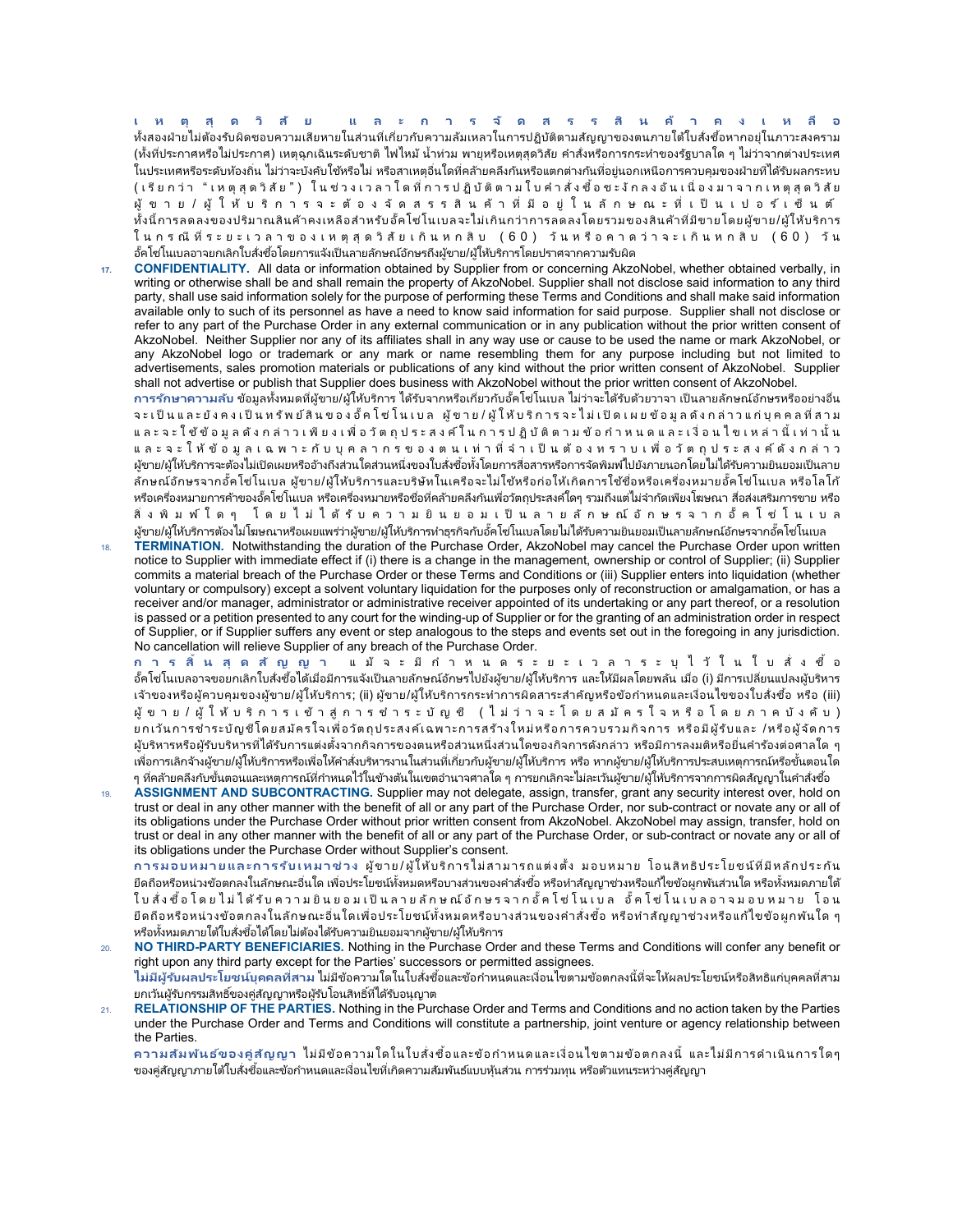เ ห ตุ สุ ด วิ ส ั ย แ ล ะ ก า ร จ ั ด ส ร ร สิ น ค้ า ค ง เ ห ลื อ ทั้งสองฝ่ายไม่ต้องรับผิดชอบความเสียหายในส่วนที่เกี่ยวกับความล้มเหลวในการปฏิบัติตามสัญญาของตนภายใต้ใบสั่งซื้อหากอยุ่ในภาวะสงคราม (ทั้งที่ประกาศหรือไม่ประกาศ) เหตุฉุกเฉินระดับชาติ ไฟไหม้ น้ำท่วม พายุหรือเหตุสุดวิสัย คำสั่งหรือการกระทำของรัฐบาลใด ๆ ไม่ว่าจากต่างประเทศ ในประเทศหรือระดับท้องถิ่น ไม่ว่าจะบังคับใช้หรือไม่ หรือสาเหตุอื่นใดที่คล้ายคลึงกันหรือแตกต่างกันที่อยู่นอกเหนือการควบคุมของฝ่ายที่ได้รับผลกระทบ ( เ รีย ก ว่ า " เ ห ตุ สุ ด วิ สั ย " ) ใน ช่ ว ง เ ว ล า ใ ด ที่ ก า ร ป ฏิ บั ติ ต า ม ใ บ คำ สั่ง ซื้ อ ช ะ งั ก ล ง อั น เ นื่ อ ง ม า จ า ก เ ห ตุ สุ ด วิ สั ย ผู้ ข า ย / ผู้ ใ ห้ บ ริ ก า ร จ ะ ต้ อ ง จั ด ส ร ร สิ น ค้ า ที่ มี อ ยู่ ใ น ลั ก ษ ณ ะ ที่ เ ป็ น เ ป อ ร์ เ ซ็ น ต์ ทั้งนี้การลดลงของปริมาณสินค้าคงเหลือสำหรับอั้คโซ่โนเบลจะไม่เกินกว่าการลดลงโดยรวมของสินค้าที่มีขายโดยผู้ขาย/ผู้ให้บริการ ใน ก ร ณี ที่ ร ะ ย ะ เ ว ล า ข อ ง เ ห ตุ สุ ด วิ สั ย เ กิ น ห ก ลิ บ (60) วัน น ห วิ จ ะ เ กิ น ห ก สิ บ (60) วั น อั๊คโซโนเบลอาจยกเลิกใบสั่งซื้อโดยการแจ้งเป็นลายลักษณ์อักษรถึงผู้ขาย/ผู้ให้บริการโดยปราศจากความรับผิด

17. CONFIDENTIALITY. All data or information obtained by Supplier from or concerning AkzoNobel, whether obtained verbally, in writing or otherwise shall be and shall remain the property of AkzoNobel. Supplier shall not disclose said information to any third party, shall use said information solely for the purpose of performing these Terms and Conditions and shall make said information available only to such of its personnel as have a need to know said information for said purpose. Supplier shall not disclose or refer to any part of the Purchase Order in any external communication or in any publication without the prior written consent of AkzoNobel. Neither Supplier nor any of its affiliates shall in any way use or cause to be used the name or mark AkzoNobel, or any AkzoNobel logo or trademark or any mark or name resembling them for any purpose including but not limited to advertisements, sales promotion materials or publications of any kind without the prior written consent of AkzoNobel. Supplier shall not advertise or publish that Supplier does business with AkzoNobel without the prior written consent of AkzoNobel.

การรักษาความลับ ข้อมูลทั้งหมดที่ผู้ขาย/ผู้ให้บริการ ได้รับจากหรือเกี่ยวกับอั้คโซโนเบล ไม่ว่าจะได้รับด้วยวาจา เป็นลายลักษณ์อักษรหรืออย่างอื่น จะ เป็น และยังคง เป็น ทรัพ ย์สิน ของอั๊ค โซ่ โน เบล ผู้ ขาย / ผู้ ให้บริการจะไม่ เปิด เผย ข้อมูลดังกล่าวแก่บุคคลที่สาม และ จะ ใ ชั ข้ อ มู ล ดั ง ก ล่ า ว เ พี ย ง เ พื่ อ วั ต ถุ ป ร ะ ส ง ศ์ ใ น ก า ร ป ฏิ บั ติ ต า ม ข้ อ กำ ห น ด แ ล ะ เ งื่ อ น ไ ข เ ห ล่ า นี้ เ ห่ า นั้ น แ ล ะ จ ะ ใ ห้ ข้ อ ม ล เ ฉ พ า ะ กั บ บ ค ล า ก ร ข อ ง ต น เ ห่ า ที่ จำ เ ป็ น ต้ อ ง ห ร า บ เ พี่ อ วั ต ถ ป ร ะ ส ง ศ์ ดั ง ก ล่ า ว ผู้ขาย/ผู้ให้บริการจะต้องไม่เปิดเผยหรืออ้างถึงส่วนใดส่วนหนึ่งของใบส่งซื้อหังโดยการสื่อสารหรือการจัดพิมพ์ไปยังภายนอกโดยไม่ได้รับความยินยอมเป็นลาย ลักษณ์อักษรจากอั๊คโซโนเบล ผู้ขาย/ผู้ให้บริการและบริษัทในเครือจะไม่ใช่หรือก่อให้เกิดการใช้ชื่อหรือเครื่องหมายอั๊คโซโนเบล หรือโลโก้ หรือเครื่องหมายการค้าของอัคโซโนเบล หรือเครื่องหมายหรือชื่อที่คล้ายคลึงกันเพื่อวัตถุประสงค์ใดๆ รวมถึงแต่ไม่จำกัดเพียงโฆษณา สื่อส่งเสริมการขาย หรือ สิ่ง พิม พ์ ใ ด ๆ โ ด ย ไ ม่ ไ ด้ รั บ ค ว า ม ยิ น ย อ ม เ ปี น ล า ย ลั ก ษ ณ์ อั ก ษ ร จ า ก อั๊ ค โ ซ่ โ น เ บ ล ่ผู้ขาย/ผู้ให้บริการต้องไม่โฆษณาหรือเผยแพร่ว่าผู้ขาย/ผู้ให้บริการทำธรกิจกับอั้คโซโนเบลโดยไม่ได้รับความยินยอมเป็นลายลักษณ์อักษรจากอั้คโซโนเบล

18. TERMINATION. Notwithstanding the duration of the Purchase Order, AkzoNobel may cancel the Purchase Order upon written notice to Supplier with immediate effect if (i) there is a change in the management, ownership or control of Supplier; (ii) Supplier commits a material breach of the Purchase Order or these Terms and Conditions or (iii) Supplier enters into liquidation (whether voluntary or compulsory) except a solvent voluntary liquidation for the purposes only of reconstruction or amalgamation, or has a receiver and/or manager, administrator or administrative receiver appointed of its undertaking or any part thereof, or a resolution is passed or a petition presented to any court for the winding-up of Supplier or for the granting of an administration order in respect of Supplier, or if Supplier suffers any event or step analogous to the steps and events set out in the foregoing in any jurisdiction. No cancellation will relieve Supplier of any breach of the Purchase Order.

ก า ร สิ้น ส ด ส ั ญ ญ า แ มั จ ะ มี กำ ห น ด ร ะ ย ะ เ ว ล า ร ะ บ ไ วั ใ น ใ บ ส้ ง ซื้ อ อัคโซโนเบลอาจขอยกเลิกใบสั่งซื้อได้เมื่อมีการแจ้งเป็นลายลักษณ์อักษรไปยังผู้ขาย/ผู้ให้บริการ และให้มีผลโดยพลัน เมื่อ (i) มีการเปลี่ยนแปลงผู้บริหาร เจ้าของหรือผู้ควบคุมของผู้ขาย/ผู้ให้บริการ; (ii) ผู้ขาย/ผู้ให้บริการกระทำการผิดสาระสำคัญหรือข้อกำหนดและเงื่อนใขของใบส่งซื้อ หรือ (iii) ผู้ ขา ย / ผู้ ใ ห้ บ ริ ก า ร เ ข้ า สู่ ก า ร ซํ า ร ะ บั ญ ชี ( ไ ม่ ว่ า จ ะ โ ด ย ส มั ค ร โ จ น ร จ โ ด ย ภ า ค บั ง คั บ ) ยกเว้นการชำระบัญชีโดยสมัครใจเพื่อวัตถุประสงค์เฉพาะการสร้างใหม่หรือการควบรวมกิจการ หรือมีผู้รับและ /หรือผู้จัดการ ผู้บริหารหรือผู้รับบริหารที่ได้รับการแต่งตั้งจากกิจการของตนหรือส่วนหนึ่งส่วนใดของกิจการดังกล่าว หรือมีการลงมติหรือยื่นคำร้องต่อศาลใด ๆ เพื่อการเลิกจ้างผู้ขาย/ผู้ให้บริการหรือเพื่อให้คำสั่งบริหารงานในส่วนที่เกี่ยวกับผู้ขาย/ผู้ให้บริการ หรือ หากผู้ขาย/ผู้ให้บริการประสบเหตุการณ์หรือขั้นตอนใด ๆ ที่คล้ายคลึงกับขั้นตอนและเหตุการณ์ที่กำหนดไว้ในข้างต้นในเขตอำนาจศาลใด ๆ การยกเลิกจะไม่ละเว้นผู้ขาย/ผู้ให้บริการจากการผิดสัญญาในคำสั่งซื้อ

ASSIGNMENT AND SUBCONTRACTING. Supplier may not delegate, assign, transfer, grant any security interest over, hold on trust or deal in any other manner with the benefit of all or any part of the Purchase Order, nor sub-contract or novate any or all of its obligations under the Purchase Order without prior written consent from AkzoNobel. AkzoNobel may assign, transfer, hold on trust or deal in any other manner with the benefit of all or any part of the Purchase Order, or sub-contract or novate any or all of its obligations under the Purchase Order without Supplier's consent.

การมอบหมายและการรับเหมาช่วง ผู้ขาย/ผู้ให้บริการไม่สามารถแต่งตั้ง มอบหมาย โอนสิทธิประโยชน์ที่มีหลักประกัน ยึดถือหรือหน่วงข้อตกลงในลักษณะอื่นใด เพื่อประโยชน์ทั้งหมดหรือบางส่วนของคำสั่งซื้อ หรือทำสัญญาช่วงหรือแก้ไขข้อผูกพันส่วนใด หรือทั้งหมดภายใต้ ใบ สั่ง ซื้อ โด ย ไม่ ไ ด้ รับ ความ ยิน ย อ ม เ ป็ น ลา ย ลัก ษ ณ์ อัก ษ ร จา ก อั๊ค โ ซ โน เ บ น อ อ จ อ จ จ ม จ บ ห ม า ย โ อ น ยึดถือหรือหน่วงข้อตกลงในลักษณะอื่นใดเพื่อประโยชน์ทั้งหมดหรือบางส่วนของคำสั่งซื้อ หรือทำสัญญาช่วงหรือแก้ไขข้อผูกพันใด ๆ หรือหั้งหมดภายใต้ใบสั่งซื้อได้โดยไม่ต้องได้รับความยินยอมจากผู้ขาย/ผู้ให้บริการ

- 20. NO THIRD-PARTY BENEFICIARIES. Nothing in the Purchase Order and these Terms and Conditions will confer any benefit or right upon any third party except for the Parties' successors or permitted assignees. ไม่มีผู้รับผลประโยชน์บุคคลที่สาม ไม่มีข้อความใดในใบส่งซื้อและข้อกำหนดและเงื่อนไขตามข้อตกลงนี้ที่จะให้ผลประโยชน์หรือสิทธิแก่บุคคลที่สาม ยกเว้นผู้รับกรรมสิทธิ์ของคู่สัญญาหรือผู้รับโอนสิทธิ์ที่ได้รับอนุญาต
- RELATIONSHIP OF THE PARTIES. Nothing in the Purchase Order and Terms and Conditions and no action taken by the Parties under the Purchase Order and Terms and Conditions will constitute a partnership, joint venture or agency relationship between the Parties.

ี ความสัมพันธ์ของคู่สัญญา ไม่มีข้อความใดในใบสั่งซื้อและข้อกำหนดและเงื่อนไขตามข้อตกลงนี้ และไม่มีการดำเนินการใดๆ ของคู่สัญญาภายใต้ใบส่งซื้อและข้อกำหนดและเงื่อนไขที่เกิดความสัมพันธ์แบบหุ้นส่วน การร่วมทุน หรือตัวแทนระหว่างคู่สัญญา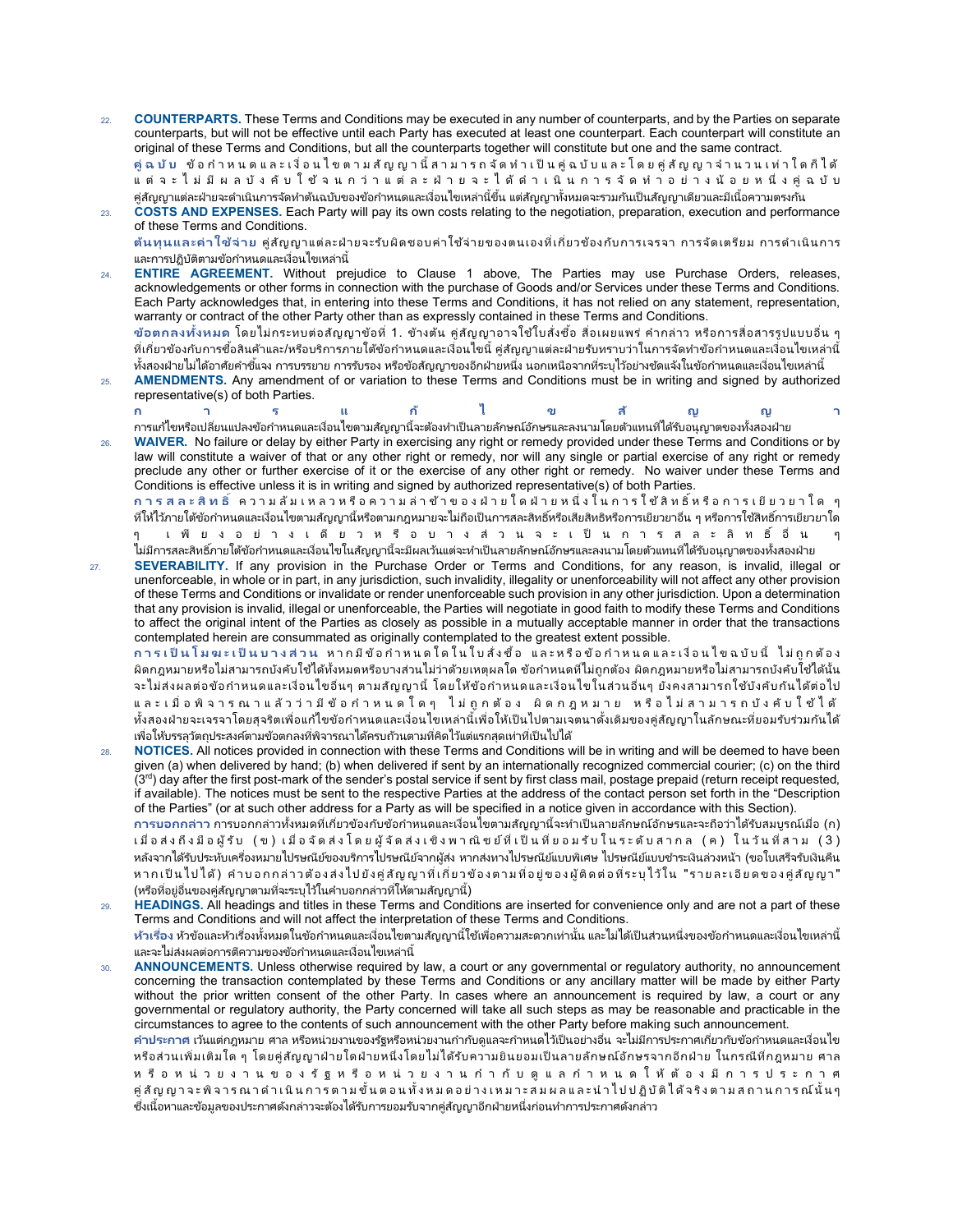22. COUNTERPARTS. These Terms and Conditions may be executed in any number of counterparts, and by the Parties on separate counterparts, but will not be effective until each Party has executed at least one counterpart. Each counterpart will constitute an original of these Terms and Conditions, but all the counterparts together will constitute but one and the same contract. คู่ ฉ บั บ ข้ อ กำ ห น ด แ ล ะ เ งื่ อ น ไ ข ต า ม สั ญ ญ า นี้ ส า ม า ร ถ จั ด ทำ เ ป็ น คู่ ฉ บั บ แ ล ะ โ ด ย คู่ สั ญ ญ า จำ น ว น เ ห่ า ใ ด ก็ ไ ด้ แ ต่ จ ะ ไ ม่ มี ผ ล บั ง คั บ ใ ช ้ จ น ก ว่ า แ ต่ ล ะ ฝ่ า ย จ ะ ไ ด ้ ดํ า เ นิ น ก า ร จั ด ทํ า อ ย่ า ง น้ อ ย ห นึŕ ง คู่ ฉ บั บ

คู่สัญญาแต่ละฝ่ายจะดำเนินการจัดทำต้นฉบับของข้อกำหนดและเงื่อนไขเหล่านี้ขึ้น แต่สัญญาทั้งหมดจะรวมกันเป็นสัญญาเดียวและมีเนื้อความตรงกัน 23. COSTS AND EXPENSES. Each Party will pay its own costs relating to the negotiation, preparation, execution and performance of these Terms and Conditions. ต้นทุนและค่าใช้จ่าย คู่สัญญาแต่ละฝ่ายจะรับผิดชอบค่าใช้จ่ายของตนเองที่เกี่ยวข้องกับการเจรจา การจัดเตรียม การดำเนินการ

และการปฏิบัติตามข้อกำหนดและเงื่อนไขเหล่านี้ 24. **ENTIRE AGREEMENT.** Without prejudice to Clause 1 above, The Parties may use Purchase Orders, releases, acknowledgements or other forms in connection with the purchase of Goods and/or Services under these Terms and Conditions. Each Party acknowledges that, in entering into these Terms and Conditions, it has not relied on any statement, representation, warranty or contract of the other Party other than as expressly contained in these Terms and Conditions.

ข้อตกลงหั้งหมด โดยไม่กระทบต่อสัญญาข้อที่ 1. ข้างต้น คู่สัญญาอาจใช้ใบสั่งซื้อ สื่อเผยแพร่ คำกล่าว หรือการสื่อสารรูปแบบอื่น ๆ ที่เกี่ยวข้องกับการซื้อสินค้าและ/หรือบริการภายใต้ข้อกำหนดและเงื่อนไขนี้ คู่สัญญาแต่ละฝ่ายรับหราบว่าในการจัดทำข้อกำหนดและเงื่อนไขเหล่านี้ ทั้งสองฝ่ายไม่ได้อาศัยคำชี้แจง การบรรยาย การรับรอง หรือข้อสัญญาของอีกฝ่ายหนึ่ง นอกเหนือจากที่ระบุไว้อย่างชัดแจ้งในข้อกำหนดและเงื่อนไขเหล่านี้

25. **AMENDMENTS.** Any amendment of or variation to these Terms and Conditions must be in writing and signed by authorized representative(s) of both Parties.

ก า ร แ ก้ ไ ข ส ั ญ ญ า การแก้ไขหรือเปลี่ยนแปลงข้อกำหนดและเงื่อนไขตามสัญญานี้จะต้องทำเป็นลายลักษณ์อักษรและลงนามโดยตัวแทนทีได้รับอนุญาตของทั้งสองฝ่าย

WAIVER. No failure or delay by either Party in exercising any right or remedy provided under these Terms and Conditions or by law will constitute a waiver of that or any other right or remedy, nor will any single or partial exercise of any right or remedy preclude any other or further exercise of it or the exercise of any other right or remedy. No waiver under these Terms and Conditions is effective unless it is in writing and signed by authorized representative(s) of both Parties.

ก า ร ส ล ะ สิ ท ธิ์ ค ว า ม ล้ ม เ ห ล ว ห รื อ ค ว า ม ล่ า ช ้ า ข อ ง ฝ่ า ย ห นึ่ ว ใ น ก า ร ใ ช้ สิ ท ธิ์ ห รื อ ก า ร เ ยี ย ว ย า ใ ด ๆ ที่ให้ไว้ภายใต้ข้อกำหนดและเงื่อนไขตามสัญญานี้หรือตามกฎหมายจะไม่ถือเป็นการสละสิทธิ์หรือเสียสิทธิ์กการเยียวยาอื่น ๆ หรือการใช้สิทธิ์การเยียวยาใด เ พี ย ง อ ย่ า ง เ ดี ย ว ห รื อ บ า ง ส่ ว น จ ะ เ ป็ น ก า ร ส ล ะ ลิ ห ธิ์ อื่ น

ไม่มีการสละสิทธิ์ภายใต้ข้อกำหนดและเงื่อนไขในสัญญานี้จะมีผลเว้นแต่จะทำเป็นลายลักษณ์อักษรและลงนามโดยตัวแทนทีได้รับอนุญาตของทั้งสองฝ่าย 27. SEVERABILITY. If any provision in the Purchase Order or Terms and Conditions, for any reason, is invalid, illegal or unenforceable, in whole or in part, in any jurisdiction, such invalidity, illegality or unenforceability will not affect any other provision of these Terms and Conditions or invalidate or render unenforceable such provision in any other jurisdiction. Upon a determination that any provision is invalid, illegal or unenforceable, the Parties will negotiate in good faith to modify these Terms and Conditions to affect the original intent of the Parties as closely as possible in a mutually acceptable manner in order that the transactions contemplated herein are consummated as originally contemplated to the greatest extent possible.

ึก า ร เ ป็น โม ฆ ะ เ ป็ น บ า ง ส่ ว น ห า ก มี ข้ อ กำ ห น ด ใ ด ใ น ใ บ สั่ง ขี้ อ แ ล ะ ห รื อ ข้ อ กำ ห น ด แ ฉ ะ เ งื่อ น ไ ข ฉ บั บ นี้ ไ ม่ ถ ก ต้ อ ง ผิดกฎหมายหรือไม่สามารถบังคับใช้ได้ทั้งหมดหรือบางส่วนไม่ว่าด้วยเหตุผลใด ข้อกำหนดที่ไม่ถูกต้อง ผิดกฎหมายหรือไม่สามารถบังคับใช้ได้นั้น จะไม่ส่งผลต่อข้อกำหนดและเงื่อนไขอื่นๆ ตามสัญญานี้ โดยให้ข้อกำหนดและเงื่อนไขในส่วนอื่นๆ ยังคงสามารถใช้บังคับกันได้ต่อไป และเมื่อ พิจารณาแล้วว่ามีข้อกำหนดใดๆ ไม่ถูกต้อง ผิดกฎหมาย หรือไม่สามารถบังคับใช้ได้ ทั้งสองฝ่ายจะเจรจาโดยสุจริตเพื่อแก้ไขข้อกำหนดและเงื่อนไขเหล่านี้เพื่อให้เป็นไปตามเจตนาดั้งเดิมของคู่สัญญาในลักษณะที่ยอมรับร่วมกันได้ เพื่อให้บรรลุวัตถุประสงค์ตามข้อตกลงที่พิจารณาได้ครบถ้วนตามที่คิดไว้แต่แรกสุดเท่าที่เป็นไปได้

NOTICES. All notices provided in connection with these Terms and Conditions will be in writing and will be deemed to have been given (a) when delivered by hand; (b) when delivered if sent by an internationally recognized commercial courier; (c) on the third  $(3<sup>rd</sup>)$  day after the first post-mark of the sender's postal service if sent by first class mail, postage prepaid (return receipt requested, if available). The notices must be sent to the respective Parties at the address of the contact person set forth in the "Description of the Parties" (or at such other address for a Party as will be specified in a notice given in accordance with this Section).

การบอกกล่าว การบอกกล่าวทั้งหมดที่เกี่ยวข้องกับข้อกำหนดและเงื่อนไขตามสัญญานี้จะทำเป็นลายลักษณ์อักษรและจะถือว่าได้รับสมบูรณ์เมื่อ (ก) เมื่อ ส่ ง ถึง มือ ผู้ รับ ( ข ) เมื่อ จัด ส่ ง โด ย ผู้ จัด ส่ ง เชิง พา ณิ ช ย์ ที่ เป็ น ที่ ย อ ม รับ ใน ระดับ ส า ก ล ( ค ) ใน วัน ที่ ส า ม ( 3 ) หลังจากได้รับประทับเครื่องหมายไปรษณีย์ของบริการไปรษณีย์จากผู้ส่ง หากส่งทางไปรษณีย์แบบพิเศษ ไปรษณีย์แบบชำระเงินล่วงหน้า (ขอใบเสร็จรับเงินคืน หา ก เ ป็น ไ ป ไ ด้ ) คำ บ อ ก ก ล่ า ว ต้ อ ง ส่ ง ไ ป ยั ง คู่ สัญ ญ า ที่ เ กี่ ย ว ข จ ต า ม ที่ อ ยู่ อ ต อ จ บ จ เข อ จ บ จ บ จ บ จ บ จ ๆ สัญ ญ า " (หรือที่อยู่อื่นของคู่สัญญาตามที่จะระบุไว้ในคำบอกกล่าวที่ให้ตามสัญญานี้)

29. HEADINGS. All headings and titles in these Terms and Conditions are inserted for convenience only and are not a part of these Terms and Conditions and will not affect the interpretation of these Terms and Conditions. หัวเรื่อง หัวข้อและหัวเรื่องทั้งหมดในข้อกำหนดและเงื่อนไขตามสัญญานี้ใช้เพื่อความสะดวกเท่านั้น และไม่ได้เป็นส่วนหนึ่งของข้อกำหนดและเงื่อนไขเหล่านี้

และจะไม่ส่งผลต่อการตีความของข้อกำหนดและเงื่อนไขเหล่านี้

- ANNOUNCEMENTS. Unless otherwise required by law, a court or any governmental or regulatory authority, no announcement concerning the transaction contemplated by these Terms and Conditions or any ancillary matter will be made by either Party without the prior written consent of the other Party. In cases where an announcement is required by law, a court or any governmental or regulatory authority, the Party concerned will take all such steps as may be reasonable and practicable in the circumstances to agree to the contents of such announcement with the other Party before making such announcement.
	- คำประกาศ เว้นแต่กฎหมาย ศาล หรือหน่วยงานของรัฐหรือหน่วยงานกำกับดูแลจะกำหนดไว้เป็นอย่างอื่น จะไม่มีการประกาศเกี่ยวกับข้อกำหนดและเงื่อนไข หรือส่วนเพิ่มเติมใด ๆ โดยค่สัญญาฝ่ายใดฝ่ายหนึ่งโดยไม่ได้รับความยินยอมเป็นลายลักษณ์อักษรจากอีกฝ่าย ในกรณีที่กภหมาย ศาล ห รื อ ห น่ ว ย ง า น ข อ ง รั ฐ ห รื อ ห น่ ว ย ง า น กํ า ก้ บ ดู แ ล กํ า ห น ด ใ ห้ ต้ อ ง มี ก า ร ป ร ะ ก า ศ คู่ สัญ ญ า จะ พิ จ า ร ณ า ดำ เ นิ น ก า ร ต า ม ขั้น ต อ น ทั้ง ห ม ด อ ย่ า เ ห ม า ะ ส ม ผ ล แ ล ะ น่ า ไ ป ป ฏิ บั ติ ไ ด้ จ ริ ง ต า ม ส ถ า น ก า ร ณ์ นั้ น ๆ ซึ่งเนื้อหาและข้อมูลของประกาศดังกล่าวจะต้องได้รับการยอมรับจากคู่สัญญาอีกฝ่ายหนึ่งก่อนทำการประกาศดังกล่าว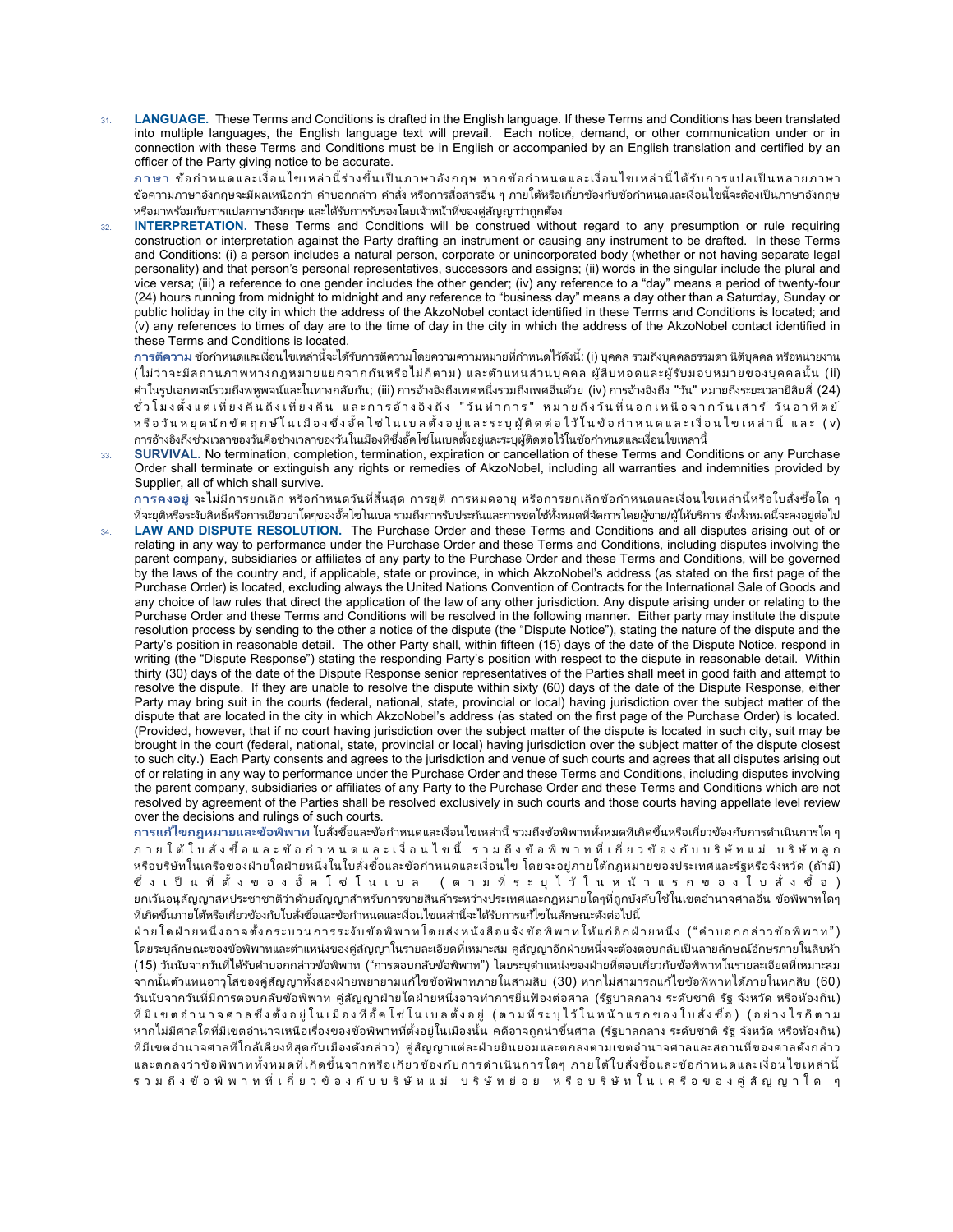31. LANGUAGE. These Terms and Conditions is drafted in the English language. If these Terms and Conditions has been translated into multiple languages, the English language text will prevail. Each notice, demand, or other communication under or in connection with these Terms and Conditions must be in English or accompanied by an English translation and certified by an officer of the Party giving notice to be accurate.

ภาษา ข้อกำหนดและเงื่อนไขเหล่านี้ร่างขึ้นเป็นภาษาอังกฤษ หากข้อกำหนดและเงื่อนไขเหล่านี้ได้รับการแปลเป็นหลายภาษา ข้อความภาษาอังกฤษจะมีผลเหนือกว่า คำบอกกล่าว คำสั่ง หรือการสื่อสารอื่น ๆ ภายใต้หรือเกี่ยวข้องกับข้อกำหนดและเงื่อนไขนี้จะต้องเป็นภาษาอังกฤษ หรือมาพร้อมกับการแปลภาษาอังกฤษ และได้รับการรับรองโดยเจ้าหน้าที่ของคู่สัญญาว่าถูกต้อง

**INTERPRETATION.** These Terms and Conditions will be construed without regard to any presumption or rule requiring construction or interpretation against the Party drafting an instrument or causing any instrument to be drafted. In these Terms and Conditions: (i) a person includes a natural person, corporate or unincorporated body (whether or not having separate legal personality) and that person's personal representatives, successors and assigns; (ii) words in the singular include the plural and vice versa; (iii) a reference to one gender includes the other gender; (iv) any reference to a "day" means a period of twenty-four (24) hours running from midnight to midnight and any reference to "business day" means a day other than a Saturday, Sunday or public holiday in the city in which the address of the AkzoNobel contact identified in these Terms and Conditions is located; and (v) any references to times of day are to the time of day in the city in which the address of the AkzoNobel contact identified in these Terms and Conditions is located.

การตีความ ข้อกำหนดและเงื่อนไขเหล่านี้จะได้รับการตีความโดยความความหมายที่กำหนดไว้ดังนี้: (i) บุคคล รวมถึงบุคคลธรรมดา นิติบุคคล หรือหน่วยงาน (ไม่ว่าจะมีสถานภาพทางกฎหมายแยกจากกันหรือไม่ก็ตาม) และตัวแทนส่วนบุคคล ผู้สืบทอดและผู้รับมอบหมายของบุคคลนั้น (ii) คำในรูปเอกพจน์รวมถึงพหูพจน์และในทางกลับกัน; (iii) การอ้างอิงถึงเพศหนึ่งรวมถึงเพศอื่นด้วย (iv) การอ้างอิงถึง "วัน" หมายถึงระยะเวลายี่สิบสี่ (24) ชั่ว โมงตั้งแต่ เที่ยงคืนถึงเที่ยงคืน และการอ้างอิงถึง "วันทำการ" หมายถึงวันที่นอกเหนือจากวันเสาร์ วันอาทิตย์ ห รื อ วัน ห ยุ ด นัก ขั ต ฤ ก ษ์ ใ น เ มื อ ง ซึ่ ง อ ้ ค โ ซ โ น เ บ ล ต้ ง อ ยู่ แ ล ะ ร บ นู่ ติ ด ต่ อ ไ วั ใ น ข้ อ กำ ห น ด แ ล ะ เ น่ ณ ล ำ นี้ แ ล ะ ( v) การอ้างอิงถึงช่วงเวลาของวันคือช่วงเวลาของวันในเมืองที่ซึ่งอั้คโซโนเบลตั้งอยู่และระบุผู้ติดต่อไว้ในข้อกำหนดและเงื่อนไขเหล่านี้

33. SURVIVAL. No termination, completion, termination, expiration or cancellation of these Terms and Conditions or any Purchase Order shall terminate or extinguish any rights or remedies of AkzoNobel, including all warranties and indemnities provided by Supplier, all of which shall survive.

การคงอยู่ จะไม่มีการยกเลิก หรือกำหนดวันที่สิ้นสุด การยุติ การหมดอายุ หรือการยกเลิกข้อกำหนดและเงื่อนไขเหล่านี้หรือใบสั่งซื้อใด ๆ ที่จะยุติหรือระงับสิทธิ์หรือการเยียวยาใดๆของอัคโซโนเบล รวมถึงการรับประกันและการชดใช้ทั้งหมดที่จัดการโดยผู้ขาย/ผู้ให้บริการ ซึ่งทั้งหมดนี้จะคงอยู่ต่อไป

LAW AND DISPUTE RESOLUTION. The Purchase Order and these Terms and Conditions and all disputes arising out of or relating in any way to performance under the Purchase Order and these Terms and Conditions, including disputes involving the parent company, subsidiaries or affiliates of any party to the Purchase Order and these Terms and Conditions, will be governed by the laws of the country and, if applicable, state or province, in which AkzoNobel's address (as stated on the first page of the Purchase Order) is located, excluding always the United Nations Convention of Contracts for the International Sale of Goods and any choice of law rules that direct the application of the law of any other jurisdiction. Any dispute arising under or relating to the Purchase Order and these Terms and Conditions will be resolved in the following manner. Either party may institute the dispute resolution process by sending to the other a notice of the dispute (the "Dispute Notice"), stating the nature of the dispute and the Party's position in reasonable detail. The other Party shall, within fifteen (15) days of the date of the Dispute Notice, respond in writing (the "Dispute Response") stating the responding Party's position with respect to the dispute in reasonable detail. Within thirty (30) days of the date of the Dispute Response senior representatives of the Parties shall meet in good faith and attempt to resolve the dispute. If they are unable to resolve the dispute within sixty (60) days of the date of the Dispute Response, either Party may bring suit in the courts (federal, national, state, provincial or local) having jurisdiction over the subject matter of the dispute that are located in the city in which AkzoNobel's address (as stated on the first page of the Purchase Order) is located. (Provided, however, that if no court having jurisdiction over the subject matter of the dispute is located in such city, suit may be brought in the court (federal, national, state, provincial or local) having jurisdiction over the subject matter of the dispute closest to such city.) Each Party consents and agrees to the jurisdiction and venue of such courts and agrees that all disputes arising out of or relating in any way to performance under the Purchase Order and these Terms and Conditions, including disputes involving the parent company, subsidiaries or affiliates of any Party to the Purchase Order and these Terms and Conditions which are not resolved by agreement of the Parties shall be resolved exclusively in such courts and those courts having appellate level review over the decisions and rulings of such courts.

การแก้ไขกฎหมายและข้อพิพาท ใบสั่งซื้อและข้อกำหนดและเงื่อนไขเหล่านี้ รวมถึงข้อพิพาทหั้งหมดที่เกิดขึ้นหรือเกี่ยวข้องกับการดำเนินการใด ๆ ภ า ย ใ ต้ ใ บ ส่ ง ซื้ อ แ ล ะ ข้ อ กำ ห น ด แ ล ะ เ งี่ อ น ไ ข นี้ ร ว ม ถึ ง ข้ อ พิ พ า ห ที่ เ กี่ ย ว ข้ อ ง กั บ บ ริ ษั ห น ม่ บ ริ ษั ห ลู ก หรือบริษัทในเครือของฝ่ายใดฝ่ายหนึ่งในใบสั่งซื้อและข้อกำหนดและเงื่อนไข โดยจะอยู่ภายใต้กฎหมายของประเทศและรัฐหรือจังหวัด (ถ้ามี) ซึ่ง เ ป็ น ที่ ตั้ง ข อ ง อั๊ ค โ ซ่ โ น เ บ ล ( ต า ม ที่ ร ะ บุ ไ ว้ ใ น ห น้ า แ ร ก ข อ ง ไ บ ส่ ง ซื้ อ ) ยกเว้นอนุสัญญาสหประชาชาติว่าด้วยสัญญาสำหรับการขายสินค้าระหว่างประเทศและกฎหมายใดๆที่ถูกบังคับใช้ในเขตอำนาจศาลอื่น ข้อพิพาทใดๆ ที่เกิดขึ้นภายใต้หรือเกี่ยวข้องกับใบสั่งซื้อและข้อกำหนดและเงื่อนไขเหล่านี้จะได้รับการแก้ไขในลักษณะดังต่อไปนี้

ฝ่ายใดฝ่ายหนึ่งอาจตั้งกระบวนการระงับข้อพิพาหโดยส่งหนังสือแจ้งข้อพิพาหให้แก่อีกฝ่ายหนึ่ง ("คำบอกกล่าวข้อพิพาห") โดยระบุลักษณะของข้อพิพาทและตำแหน่งของคู่สัญญาในรายละเอียดที่เหมาะสม คู่สัญญาอีกฝ่ายหนึ่งจะต้องตอบกลับเป็นลายลักษณ์อักษรภายในสิบห้า (15) วันนับจากวันที่ได้รับคำบอกกล่าวข้อพิพาท ("การตอบกลับข้อพิพาท") โดยระบุตำแหน่งของฝ่ายที่ตอบเกี่ยวกับข้อพิพาทในรายละเอียดที่เหมาะสม จากนั้นตัวแทนอาวุโสของคู่สัญญาทั้งสองฝ่ายพยายามแก้ไขข้อพิพาทภายในสามสิบ (30) หากไม่สามารถแก้ไขข้อพิพาทได้ภายในหกสิบ (60) วันนับจากวันที่มีการตอบกลับข้อพิพาท คู่สัญญาฝ่ายใดฝ่ายหนึ่งอาจทำการยื่นฟ้องต่อศาล (รัฐบาลกลาง ระดับชาติ รัฐ จังหวัด หรือท้องถิ่น) ที่มีเขต อำนาจศาลซึ่งตั้งอย่ในเมืองที่อั๊ค โซ่ โนเบลตั้งอย่ (ตามที่ระบไว้ในหน้าแรกของใบสั่งซื้อ) (อย่างไรก็ตาม หากไม่มีศาลใดที่มีเขตอำนาจเหนือเรื่องของข้อพิพาทที่ตั้งอยู่ในเมืองนั้น คดีอาจถูกนำขึ้นศาล (รัฐบาลกลาง ระดับชาติ รัฐ จังหวัด หรือท้องถิ่น) ที่มีเขตอำนาจศาลที่ใกล้เคียงที่สุดกับเมืองดังกล่าว) คู่สัญญาแต่ละฝ่ายยินยอมและตกลงตามเขตอำนาจศาลและสถานที่ของศาลดังกล่าว และตกลงว่าข้อพิพาททั้งหมดที่เกิดขึ้นจากหรือเกี่ยวข้องกับการดำเนินการใดๆ ภายใต้ใบสั่งซื้อและข้อกำหนดและเงื่อนไขเหล่านี้ รวมถึง ข้อ พิ พ า ท ที่ เ กี่ ย ว ข้ อ ง กั บ บ ริ ษั ท แ ม่ บ ริ ษั ท ย่ อ ย ห รื อ บ ริ ษั ท ใ น เ ค รื อ ข อ ง คู่ สํ ญ ญ า ใ ด ๆ